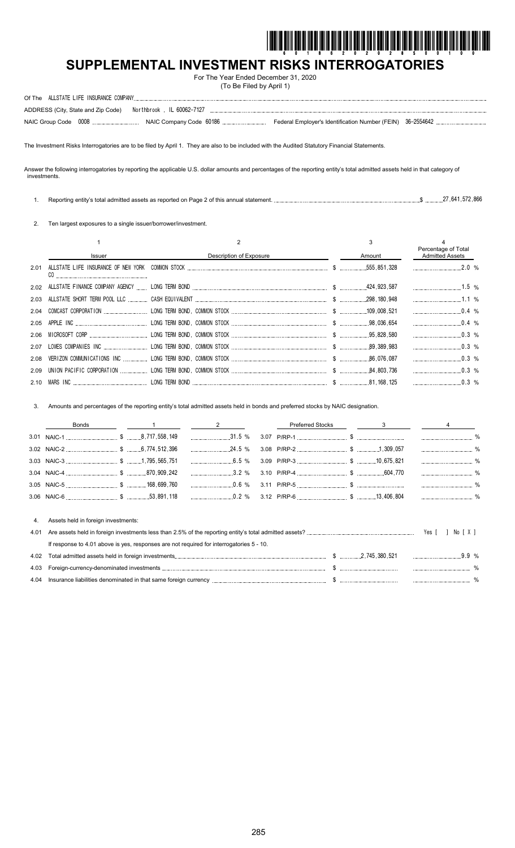

# **SUPPLEMENTAL INVESTMENT RISKS INTERROGATORIES**

For The Year Ended December 31, 2020 (To Be Filed by April 1)

| ADDRESS (City, State and Zip Code) Northbrook, IL 60062-7127 |  |
|--------------------------------------------------------------|--|
|                                                              |  |

The Investment Risks Interrogatories are to be filed by April 1. They are also to be included with the Audited Statutory Financial Statements.

Answer the following interrogatories by reporting the applicable U.S. dollar amounts and percentages of the reporting entity's total admitted assets held in that category of investments.

| Reporting entity's total admitted assets as reported on Page 2 of this annual statement. | 27 641 5 | 572 866 |  |
|------------------------------------------------------------------------------------------|----------|---------|--|
|                                                                                          |          |         |  |

2. Ten largest exposures to a single issuer/borrower/investment.

|      |               |                         |        | Percentage of Total    |  |
|------|---------------|-------------------------|--------|------------------------|--|
|      | <b>Issuer</b> | Description of Exposure | Amount | <b>Admitted Assets</b> |  |
| 2.01 | CO.           |                         |        |                        |  |
|      |               |                         |        | $1.5\%$                |  |
|      |               |                         |        | $\ldots$ 1.1 %         |  |
|      |               |                         |        | $0.4\%$                |  |
|      |               |                         |        | $0.4\%$                |  |
|      |               |                         |        | $\ldots$ 0.3 %         |  |
|      |               |                         |        | $\ldots$ 0.3 %         |  |
|      |               |                         |        | $0.3\%$                |  |
|      |               |                         |        | $0.3\%$                |  |
|      |               |                         |        |                        |  |

3. Amounts and percentages of the reporting entity's total admitted assets held in bonds and preferred stocks by NAIC designation.

|      | Bonds                                                                                    |  |        |  | <b>Preferred Stocks</b> | 3 |       |  |
|------|------------------------------------------------------------------------------------------|--|--------|--|-------------------------|---|-------|--|
|      |                                                                                          |  | 31.5 % |  |                         |   |       |  |
|      |                                                                                          |  |        |  |                         |   |       |  |
|      |                                                                                          |  |        |  |                         |   |       |  |
|      |                                                                                          |  |        |  |                         |   |       |  |
|      |                                                                                          |  |        |  |                         |   |       |  |
|      |                                                                                          |  |        |  |                         |   |       |  |
|      |                                                                                          |  |        |  |                         |   |       |  |
| 4.   | Assets held in foreign investments:                                                      |  |        |  |                         |   |       |  |
| 4.01 |                                                                                          |  |        |  |                         |   |       |  |
|      | If response to 4.01 above is yes, responses are not required for interrogatories 5 - 10. |  |        |  |                         |   |       |  |
| 4.02 |                                                                                          |  |        |  |                         |   | .9.9% |  |
| 4.03 |                                                                                          |  |        |  |                         |   |       |  |

| <b>. .</b>         |     | . |  |
|--------------------|-----|---|--|
| <b>. .</b><br>т. с | . . |   |  |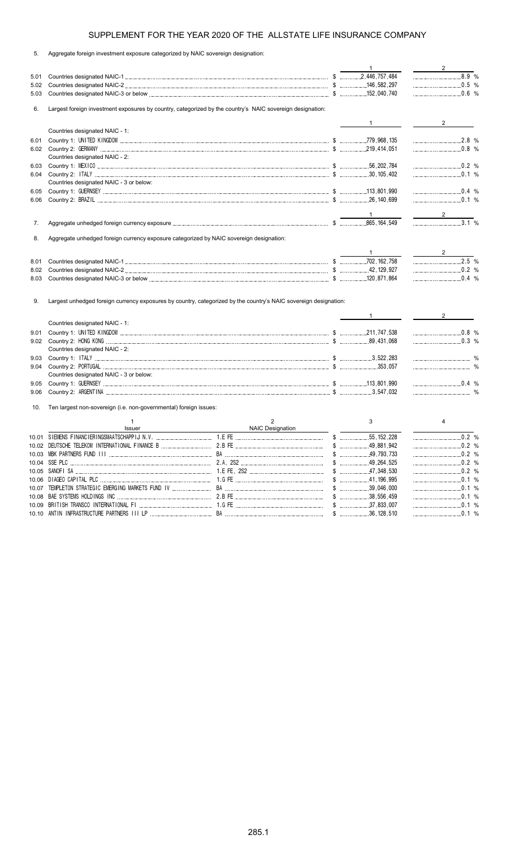5. Aggregate foreign investment exposure categorized by NAIC sovereign designation:

|              |                                                                                         |                                                                                                                  | $\mathbf{1}$   | 2 $\qquad$                           |
|--------------|-----------------------------------------------------------------------------------------|------------------------------------------------------------------------------------------------------------------|----------------|--------------------------------------|
| 5.01         |                                                                                         |                                                                                                                  |                |                                      |
| 5.02         |                                                                                         |                                                                                                                  |                | $\ldots$ 0.5 %                       |
| 5.03         |                                                                                         |                                                                                                                  |                |                                      |
| 6.           |                                                                                         | Largest foreign investment exposures by country, categorized by the country's NAIC sovereign designation:        |                |                                      |
|              |                                                                                         |                                                                                                                  |                | $2 \left( \frac{1}{2} \right)$       |
|              | Countries designated NAIC - 1:                                                          |                                                                                                                  |                |                                      |
| 6.01         |                                                                                         |                                                                                                                  |                | $2.8\%$                              |
|              |                                                                                         |                                                                                                                  |                | $\ldots$ 0.8 %                       |
|              | Countries designated NAIC - 2:                                                          |                                                                                                                  |                |                                      |
| 6.03         |                                                                                         |                                                                                                                  |                | $\frac{1}{2}$ 0.2 %                  |
| 6.04         |                                                                                         |                                                                                                                  |                |                                      |
|              | Countries designated NAIC - 3 or below:                                                 |                                                                                                                  |                |                                      |
| 6.05         |                                                                                         |                                                                                                                  |                |                                      |
| 6.06         |                                                                                         |                                                                                                                  |                |                                      |
|              |                                                                                         |                                                                                                                  |                | $\frac{2}{\sqrt{2}}$                 |
| 7.           |                                                                                         |                                                                                                                  |                | $\overline{3.1\%}$                   |
|              |                                                                                         |                                                                                                                  |                |                                      |
| 8.           | Aggregate unhedged foreign currency exposure categorized by NAIC sovereign designation: |                                                                                                                  |                |                                      |
|              |                                                                                         |                                                                                                                  |                |                                      |
|              |                                                                                         |                                                                                                                  |                | $2.5\%$                              |
| 8.01<br>8.02 |                                                                                         |                                                                                                                  |                | 0.2 %                                |
| 8.03         |                                                                                         |                                                                                                                  |                |                                      |
|              |                                                                                         |                                                                                                                  |                |                                      |
|              |                                                                                         |                                                                                                                  |                |                                      |
| 9.           |                                                                                         | Largest unhedged foreign currency exposures by country, categorized by the country's NAIC sovereign designation: |                |                                      |
|              |                                                                                         |                                                                                                                  |                | $\overline{\phantom{a}2\phantom{a}}$ |
|              | Countries designated NAIC - 1:                                                          |                                                                                                                  |                |                                      |
| 9.01         |                                                                                         |                                                                                                                  |                | $0.8\%$                              |
|              |                                                                                         |                                                                                                                  |                | $\ldots$ 0.3 %                       |
|              | Countries designated NAIC - 2:                                                          |                                                                                                                  |                |                                      |
| 9.03         |                                                                                         |                                                                                                                  |                |                                      |
| 9.04         |                                                                                         |                                                                                                                  |                |                                      |
|              | Countries designated NAIC - 3 or below:                                                 |                                                                                                                  |                |                                      |
| 9.05         |                                                                                         |                                                                                                                  |                |                                      |
| 9.06         |                                                                                         |                                                                                                                  |                | $\ldots$ 0.4 %                       |
| 10.          |                                                                                         |                                                                                                                  |                |                                      |
|              | Ten largest non-sovereign (i.e. non-governmental) foreign issues:                       |                                                                                                                  |                |                                      |
|              |                                                                                         |                                                                                                                  |                |                                      |
|              | -1                                                                                      | $\overline{2}$                                                                                                   | 3              | 4                                    |
|              | Issuer                                                                                  | NAIC Designation                                                                                                 |                |                                      |
|              |                                                                                         |                                                                                                                  |                |                                      |
|              |                                                                                         |                                                                                                                  |                | $\ldots$ 0.2 %<br>0.2 %              |
|              |                                                                                         |                                                                                                                  |                | 0.2 %                                |
|              |                                                                                         |                                                                                                                  | $$$ 47.348.530 |                                      |
| 10.06        |                                                                                         |                                                                                                                  |                |                                      |
|              |                                                                                         |                                                                                                                  |                |                                      |
|              |                                                                                         |                                                                                                                  |                |                                      |
|              |                                                                                         |                                                                                                                  |                | $\frac{1}{2}$ 0.1 %                  |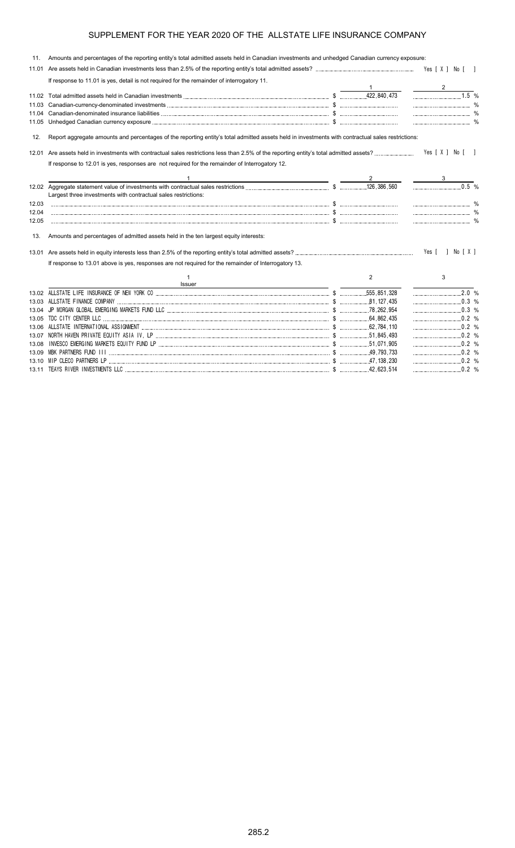| 11.   | Amounts and percentages of the reporting entity's total admitted assets held in Canadian investments and unhedged Canadian currency exposure:     |   |                                                                                       |
|-------|---------------------------------------------------------------------------------------------------------------------------------------------------|---|---------------------------------------------------------------------------------------|
| 11.01 |                                                                                                                                                   |   |                                                                                       |
|       | If response to 11.01 is yes, detail is not required for the remainder of interrogatory 11.                                                        |   |                                                                                       |
|       |                                                                                                                                                   |   |                                                                                       |
|       |                                                                                                                                                   |   | $1.5\%$                                                                               |
| 11.03 |                                                                                                                                                   |   |                                                                                       |
| 11.04 |                                                                                                                                                   |   |                                                                                       |
|       |                                                                                                                                                   |   |                                                                                       |
| 12.   | Report aggregate amounts and percentages of the reporting entity's total admitted assets held in investments with contractual sales restrictions: |   |                                                                                       |
| 12.01 |                                                                                                                                                   |   | Yes [ X ] No [ ]                                                                      |
|       | If response to 12.01 is yes, responses are not required for the remainder of Interrogatory 12.                                                    |   |                                                                                       |
|       |                                                                                                                                                   |   |                                                                                       |
|       | Largest three investments with contractual sales restrictions:                                                                                    |   | 0.5 %                                                                                 |
| 12.03 |                                                                                                                                                   |   |                                                                                       |
| 12.04 |                                                                                                                                                   |   |                                                                                       |
| 12.05 |                                                                                                                                                   |   |                                                                                       |
| 13.   | Amounts and percentages of admitted assets held in the ten largest equity interests:                                                              |   |                                                                                       |
|       |                                                                                                                                                   |   | Yes [ ] No [ X ]                                                                      |
|       | If response to 13.01 above is yes, responses are not required for the remainder of Interrogatory 13.                                              |   |                                                                                       |
|       | 1                                                                                                                                                 | 2 | 3                                                                                     |
|       | Issuer                                                                                                                                            |   |                                                                                       |
| 13.02 |                                                                                                                                                   |   | $\begin{array}{c c} \hline \text{} & \text{} \\ \hline \text{} & \text{} \end{array}$ |
|       |                                                                                                                                                   |   |                                                                                       |
| 13.04 |                                                                                                                                                   |   |                                                                                       |
| 13.05 |                                                                                                                                                   |   |                                                                                       |
| 13.06 |                                                                                                                                                   |   |                                                                                       |
|       |                                                                                                                                                   |   |                                                                                       |
| 13.08 |                                                                                                                                                   |   |                                                                                       |
|       |                                                                                                                                                   |   |                                                                                       |
|       |                                                                                                                                                   |   |                                                                                       |

13.11 TEAYS RIVER INVESTMENTS LLC \$ 42,623,514 0.2 %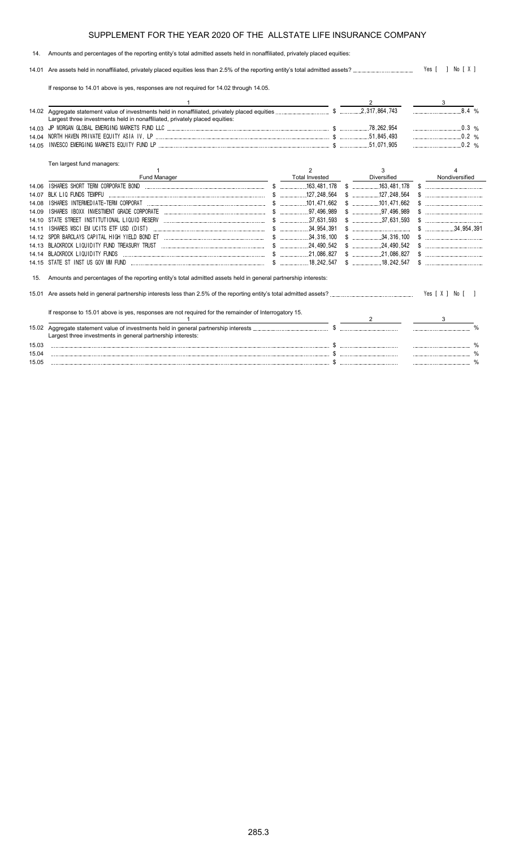### 14. Amounts and percentages of the reporting entity's total admitted assets held in nonaffiliated, privately placed equities:

14.01 Are assets held in nonaffiliated, privately placed equities less than 2.5% of the reporting entity's total admitted assets? Yes [ ] No [ X ]

If response to 14.01 above is yes, responses are not required for 14.02 through 14.05.

|       | Largest three investments held in nonaffiliated, privately placed equities:                                    |  |                       |             | 8.4%                   |                |  |
|-------|----------------------------------------------------------------------------------------------------------------|--|-----------------------|-------------|------------------------|----------------|--|
|       |                                                                                                                |  |                       | $0.3\%$     |                        |                |  |
| 14.04 |                                                                                                                |  |                       | .51,845,493 | $\ldots$ 0.2 %         |                |  |
| 14.05 |                                                                                                                |  | .51.071.905           |             | .0.2%                  |                |  |
|       | Ten largest fund managers:                                                                                     |  |                       |             |                        |                |  |
|       |                                                                                                                |  | 2                     | 3           |                        |                |  |
|       | <b>Fund Manager</b>                                                                                            |  | <b>Total Invested</b> | Diversified |                        | Nondiversified |  |
| 14.06 |                                                                                                                |  |                       |             |                        |                |  |
| 14 07 |                                                                                                                |  |                       |             |                        |                |  |
| 14 08 |                                                                                                                |  |                       |             |                        |                |  |
| 14 09 |                                                                                                                |  | .97,496,989           |             |                        |                |  |
| 14 10 |                                                                                                                |  |                       |             |                        |                |  |
| 14 11 |                                                                                                                |  |                       |             | $\frac{1}{34.954.391}$ |                |  |
| 14 12 |                                                                                                                |  |                       |             |                        |                |  |
| 14.13 |                                                                                                                |  |                       |             |                        |                |  |
| 14 14 | <u>s</u> 21,086,827<br>BLACKROCK LIQUIDITY FUNDS                                                               |  |                       |             |                        |                |  |
| 14 15 | STATE ST INST US GOV MM FUND                                                                                   |  |                       |             |                        |                |  |
| 15.   | Amounts and percentages of the reporting entity's total admitted assets held in general partnership interests: |  |                       |             |                        |                |  |
|       |                                                                                                                |  |                       |             |                        |                |  |
|       | If response to 15.01 above is yes, responses are not required for the remainder of Interrogatory 15.           |  |                       |             | 3                      |                |  |
|       |                                                                                                                |  |                       | 2           |                        |                |  |
|       | Largest three investments in general partnership interests:                                                    |  |                       |             |                        |                |  |
| 15.03 |                                                                                                                |  |                       |             |                        |                |  |
| 15.04 |                                                                                                                |  |                       |             |                        |                |  |
| 15.05 |                                                                                                                |  |                       |             |                        |                |  |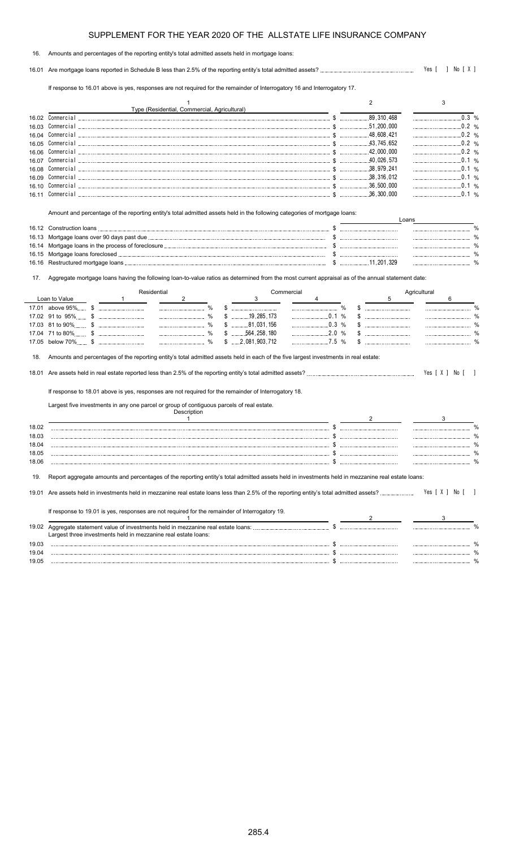#### 16. Amounts and percentages of the reporting entity's total admitted assets held in mortgage loans:

16.01 Are mortgage loans reported in Schedule B less than 2.5% of the reporting entity's total admitted assets? Yes [ ] No [ X ]

If response to 16.01 above is yes, responses are not required for the remainder of Interrogatory 16 and Interrogatory 17.

|       | Type (Residential, Commercial, Agricultural) |                       |  |
|-------|----------------------------------------------|-----------------------|--|
| 16.02 | Commercial                                   | 89,310,468            |  |
| 16.03 | Commercial                                   | .51.200.000           |  |
| 16 Q4 | Commercial                                   | $1.11$ , 48, 608, 421 |  |
| 16.05 | Commercial                                   | 43.745.652            |  |
| 16.06 | Commercial                                   | 42.000.000            |  |
| 16.07 | Commercial                                   | 40.026.573            |  |
| 16.08 | Commercial                                   | 38.979.241            |  |
| 16.09 |                                              | 38 316 012            |  |
| 16.10 |                                              | 36.500.000            |  |
| 16 11 |                                              | .36.300.000           |  |

Amount and percentage of the reporting entity's total admitted assets held in the following categories of mortgage loans:

| 16.12 Construction loans |            |  |
|--------------------------|------------|--|
|                          |            |  |
|                          |            |  |
|                          |            |  |
|                          | 11.201.329 |  |

17. Aggregate mortgage loans having the following loan-to-value ratios as determined from the most current appraisal as of the annual statement date:

|       | Residential        |  |  | Commercial                                                                                                                                                                                                       |  |                         |       | Agricultural |  |                |  |
|-------|--------------------|--|--|------------------------------------------------------------------------------------------------------------------------------------------------------------------------------------------------------------------|--|-------------------------|-------|--------------|--|----------------|--|
|       | Loan to Value      |  |  |                                                                                                                                                                                                                  |  |                         |       |              |  |                |  |
|       | 17.01 above 95% \$ |  |  |                                                                                                                                                                                                                  |  |                         |       |              |  |                |  |
|       | 17.02 91 to 95% \$ |  |  | $\frac{0}{0}$                                                                                                                                                                                                    |  | .19.285.173             |       | 0.1%         |  |                |  |
|       | 17.03 81 to 90% \$ |  |  |                                                                                                                                                                                                                  |  | . 81.031.156            |       | .0.3%        |  |                |  |
|       |                    |  |  | $\frac{0}{0}$                                                                                                                                                                                                    |  | $$$ 564,258,180         |       | .2.0%        |  |                |  |
|       |                    |  |  |                                                                                                                                                                                                                  |  | $$ \dots 2,081,903,712$ | 7.5 % |              |  |                |  |
| 18.   |                    |  |  | Amounts and percentages of the reporting entity's total admitted assets held in each of the five largest investments in real estate:                                                                             |  |                         |       |              |  |                |  |
|       |                    |  |  |                                                                                                                                                                                                                  |  |                         |       |              |  | Yes [ X ] No [ |  |
|       |                    |  |  | If response to 18.01 above is yes, responses are not required for the remainder of Interrogatory 18.<br>Largest five investments in any one parcel or group of contiguous parcels of real estate.<br>Description |  |                         |       |              |  |                |  |
| 18.02 |                    |  |  |                                                                                                                                                                                                                  |  |                         |       |              |  |                |  |
| 18.03 |                    |  |  |                                                                                                                                                                                                                  |  |                         |       |              |  |                |  |
| 18.04 |                    |  |  |                                                                                                                                                                                                                  |  |                         |       |              |  |                |  |
| 18.05 |                    |  |  |                                                                                                                                                                                                                  |  |                         |       |              |  |                |  |
| 18.06 |                    |  |  |                                                                                                                                                                                                                  |  |                         |       |              |  |                |  |
| 19.   |                    |  |  | Report aggregate amounts and percentages of the reporting entity's total admitted assets held in investments held in mezzanine real estate loans:                                                                |  |                         |       |              |  |                |  |
|       |                    |  |  |                                                                                                                                                                                                                  |  |                         |       |              |  | Yes [ X ] No   |  |

|       | If response to 19.01 is yes, responses are not required for the remainder of Interrogatory 19.                                                  |  |  |
|-------|-------------------------------------------------------------------------------------------------------------------------------------------------|--|--|
| 19.02 | Aggregate statement value of investments held in mezzanine real estate loans:<br>Largest three investments held in mezzanine real estate loans: |  |  |
| 19.03 |                                                                                                                                                 |  |  |
| 19.04 |                                                                                                                                                 |  |  |
| 19.05 |                                                                                                                                                 |  |  |